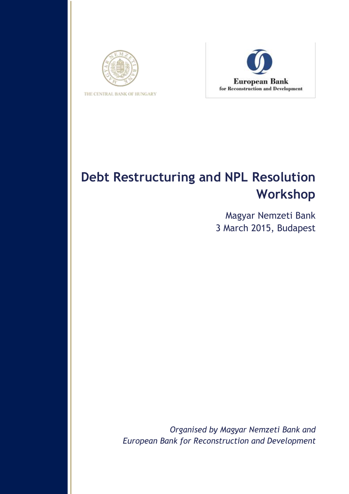



# **Debt Restructuring and NPL Resolution Workshop**

Magyar Nemzeti Bank 3 March 2015, Budapest

*Organised by Magyar Nemzeti Bank and European Bank for Reconstruction and Development*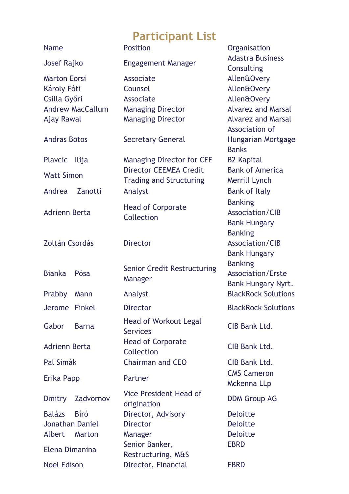## **Participant List**

| <b>Name</b>                                                                                 |                  | <u>we are specific</u><br><b>Position</b>                                                                      | Organisation                                                                                                                                           |
|---------------------------------------------------------------------------------------------|------------------|----------------------------------------------------------------------------------------------------------------|--------------------------------------------------------------------------------------------------------------------------------------------------------|
| Josef Rajko                                                                                 |                  | <b>Engagement Manager</b>                                                                                      | <b>Adastra Business</b><br>Consulting                                                                                                                  |
| <b>Marton Eorsi</b><br>Károly Fóti<br>Csilla Győri<br><b>Andrew MacCallum</b><br>Ajay Rawal |                  | Associate<br>Counsel<br>Associate<br><b>Managing Director</b><br><b>Managing Director</b>                      | <b>Allen&amp;Overy</b><br><b>Allen&amp;Overy</b><br><b>Allen&amp;Overy</b><br><b>Alvarez and Marsal</b><br><b>Alvarez and Marsal</b><br>Association of |
| <b>Andras Botos</b>                                                                         |                  | <b>Secretary General</b>                                                                                       | <b>Hungarian Mortgage</b><br><b>Banks</b>                                                                                                              |
| <b>Plavcic</b><br><b>Watt Simon</b><br>Andrea                                               | llija<br>Zanotti | <b>Managing Director for CEE</b><br><b>Director CEEMEA Credit</b><br><b>Trading and Structuring</b><br>Analyst | <b>B2 Kapital</b><br><b>Bank of America</b><br>Merrill Lynch<br><b>Bank of Italy</b>                                                                   |
| <b>Adrienn Berta</b>                                                                        |                  | <b>Head of Corporate</b><br>Collection                                                                         | <b>Banking</b><br>Association/CIB<br><b>Bank Hungary</b>                                                                                               |
| Zoltán Csordás                                                                              |                  | <b>Director</b>                                                                                                | <b>Banking</b><br>Association/CIB<br><b>Bank Hungary</b>                                                                                               |
| <b>Bianka</b>                                                                               | Pósa             | <b>Senior Credit Restructuring</b><br>Manager                                                                  | <b>Banking</b><br><b>Association/Erste</b><br><b>Bank Hungary Nyrt.</b>                                                                                |
| Prabby                                                                                      | Mann             | Analyst                                                                                                        | <b>BlackRock Solutions</b>                                                                                                                             |
| <b>Jerome</b>                                                                               | <b>Finkel</b>    | <b>Director</b>                                                                                                | <b>BlackRock Solutions</b>                                                                                                                             |
| Gabor                                                                                       | <b>Barna</b>     | <b>Head of Workout Legal</b><br><b>Services</b>                                                                | <b>CIB Bank Ltd.</b>                                                                                                                                   |
| <b>Adrienn Berta</b>                                                                        |                  | <b>Head of Corporate</b><br>Collection                                                                         | CIB Bank Ltd.                                                                                                                                          |
| Pal Simák                                                                                   |                  | <b>Chairman and CEO</b>                                                                                        | CIB Bank Ltd.                                                                                                                                          |
| Erika Papp                                                                                  |                  | Partner                                                                                                        | <b>CMS Cameron</b><br>Mckenna LLp                                                                                                                      |
| <b>Dmitry</b>                                                                               | Zadvornov        | <b>Vice President Head of</b><br>origination                                                                   | <b>DDM Group AG</b>                                                                                                                                    |
| <b>Balázs</b>                                                                               | <b>B</b> iró     | Director, Advisory                                                                                             | <b>Deloitte</b>                                                                                                                                        |
| <b>Jonathan Daniel</b>                                                                      |                  | <b>Director</b>                                                                                                | <b>Deloitte</b>                                                                                                                                        |
| <b>Albert</b>                                                                               | Marton           | Manager                                                                                                        | <b>Deloitte</b><br><b>EBRD</b>                                                                                                                         |
| Elena Dimanina                                                                              |                  | Senior Banker,<br>Restructuring, M&S                                                                           |                                                                                                                                                        |
| <b>Noel Edison</b>                                                                          |                  | Director, Financial                                                                                            | <b>EBRD</b>                                                                                                                                            |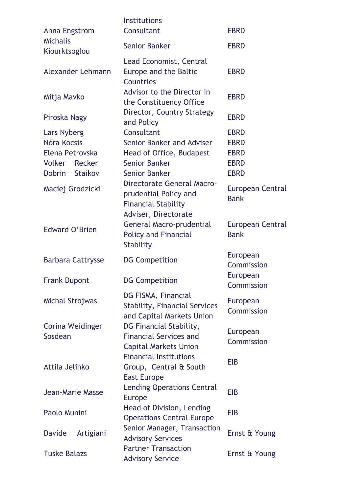| Anna Engström                                                                                              | <b>Institutions</b><br>Consultant                                                                                                                                 | <b>EBRD</b>                                                                                        |
|------------------------------------------------------------------------------------------------------------|-------------------------------------------------------------------------------------------------------------------------------------------------------------------|----------------------------------------------------------------------------------------------------|
| <b>Michalis</b><br>Kiourktsoglou                                                                           | <b>Senior Banker</b>                                                                                                                                              | <b>EBRD</b>                                                                                        |
| Alexander Lehmann                                                                                          | Lead Economist, Central<br>Europe and the Baltic<br>Countries                                                                                                     | <b>EBRD</b>                                                                                        |
| Mitja Mavko                                                                                                | Advisor to the Director in<br>the Constituency Office                                                                                                             | <b>EBRD</b>                                                                                        |
| Piroska Nagy                                                                                               | Director, Country Strategy<br>and Policy                                                                                                                          | <b>EBRD</b>                                                                                        |
| Lars Nyberg<br>Nóra Kocsis<br>Elena Petrovska<br>Volker<br>Recker<br>Staikov<br>Dobrin<br>Maciej Grodzicki | Consultant<br>Senior Banker and Adviser<br>Head of Office, Budapest<br><b>Senior Banker</b><br><b>Senior Banker</b><br><b>Directorate General Macro-</b>          | <b>EBRD</b><br><b>EBRD</b><br><b>EBRD</b><br><b>EBRD</b><br><b>EBRD</b><br><b>European Central</b> |
| Edward O'Brien                                                                                             | prudential Policy and<br><b>Financial Stability</b><br>Adviser, Directorate<br><b>General Macro-prudential</b><br><b>Policy and Financial</b><br><b>Stability</b> | <b>Bank</b><br>European Central<br><b>Bank</b>                                                     |
| <b>Barbara Cattrysse</b>                                                                                   | <b>DG Competition</b>                                                                                                                                             | European<br>Commission<br>European                                                                 |
| <b>Frank Dupont</b>                                                                                        | <b>DG Competition</b>                                                                                                                                             | Commission                                                                                         |
| Michal Strojwas                                                                                            | DG FISMA, Financial<br><b>Stability, Financial Services</b><br>and Capital Markets Union                                                                          | <b>European</b><br>Commission                                                                      |
| Corina Weidinger<br>Sosdean                                                                                | DG Financial Stability,<br><b>Financial Services and</b><br><b>Capital Markets Union</b>                                                                          | European<br>Commission                                                                             |
| Attila Jelinko                                                                                             | <b>Financial Institutions</b><br>Group, Central & South<br><b>East Europe</b>                                                                                     | <b>EIB</b>                                                                                         |
| <b>Jean-Marie Masse</b>                                                                                    | <b>Lending Operations Central</b><br><b>Europe</b>                                                                                                                | <b>EIB</b>                                                                                         |
| Paolo Munini                                                                                               | Head of Division, Lending<br><b>Operations Central Europe</b>                                                                                                     | <b>EIB</b>                                                                                         |
| <b>Davide</b><br>Artigiani                                                                                 | Senior Manager, Transaction<br><b>Advisory Services</b>                                                                                                           | Ernst & Young                                                                                      |
| <b>Tuske Balazs</b>                                                                                        | <b>Partner Transaction</b><br><b>Advisory Service</b>                                                                                                             | Ernst & Young                                                                                      |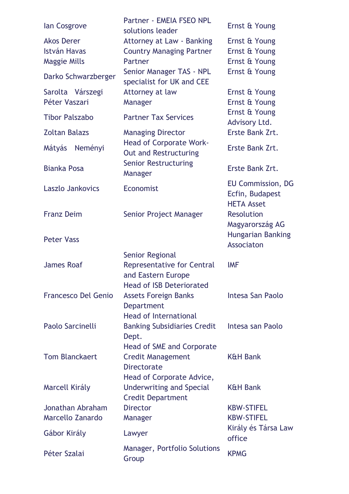| lan Cosgrove          | Partner - EMEIA FSEO NPL<br>solutions leader                   | Ernst & Young                                                    |
|-----------------------|----------------------------------------------------------------|------------------------------------------------------------------|
| <b>Akos Derer</b>     | <b>Attorney at Law - Banking</b>                               | Ernst & Young                                                    |
| <b>István Havas</b>   | <b>Country Managing Partner</b>                                | Ernst & Young                                                    |
| <b>Maggie Mills</b>   | Partner                                                        | Ernst & Young                                                    |
| Darko Schwarzberger   | Senior Manager TAS - NPL<br>specialist for UK and CEE          | Ernst & Young                                                    |
| Sarolta Várszegi      | Attorney at law                                                | Ernst & Young                                                    |
| Péter Vaszari         | Manager                                                        | Ernst & Young                                                    |
| <b>Tibor Palszabo</b> | <b>Partner Tax Services</b>                                    | Ernst & Young<br>Advisory Ltd.                                   |
| <b>Zoltan Balazs</b>  | <b>Managing Director</b>                                       | Erste Bank Zrt.                                                  |
| Neményi<br>Mátyás     | <b>Head of Corporate Work-</b><br><b>Out and Restructuring</b> | Erste Bank Zrt.                                                  |
| <b>Bianka Posa</b>    | <b>Senior Restructuring</b><br>Manager                         | Erste Bank Zrt.                                                  |
| Laszlo Jankovics      | Economist                                                      | <b>EU Commission, DG</b><br>Ecfin, Budapest<br><b>HETA Asset</b> |
| <b>Franz Deim</b>     | Senior Project Manager                                         | <b>Resolution</b><br>Magyarország AG                             |
| <b>Peter Vass</b>     |                                                                | <b>Hungarian Banking</b><br>Associaton                           |
|                       | <b>Senior Regional</b>                                         |                                                                  |
| <b>James Roaf</b>     | <b>Representative for Central</b><br>and Eastern Europe        | <b>IMF</b>                                                       |
|                       | <b>Head of ISB Deteriorated</b>                                |                                                                  |
| Francesco Del Genio   | <b>Assets Foreign Banks</b><br><b>Department</b>               | Intesa San Paolo                                                 |
|                       | <b>Head of International</b>                                   |                                                                  |
| Paolo Sarcinelli      | <b>Banking Subsidiaries Credit</b><br>Dept.                    | Intesa san Paolo                                                 |
|                       | <b>Head of SME and Corporate</b>                               |                                                                  |
| <b>Tom Blanckaert</b> | <b>Credit Management</b><br><b>Directorate</b>                 | <b>K&amp;H Bank</b>                                              |
| Marcell Király        | Head of Corporate Advice,<br>Underwriting and Special          | <b>K&amp;H Bank</b>                                              |
|                       | <b>Credit Department</b>                                       |                                                                  |
| Jonathan Abraham      | <b>Director</b>                                                | <b>KBW-STIFEL</b>                                                |
| Marcello Zanardo      | Manager                                                        | <b>KBW-STIFEL</b>                                                |
|                       |                                                                | Király és Társa Law                                              |
| Gábor Király          | Lawyer                                                         | office                                                           |
| Péter Szalai          | Manager, Portfolio Solutions<br>Group                          | <b>KPMG</b>                                                      |
|                       |                                                                |                                                                  |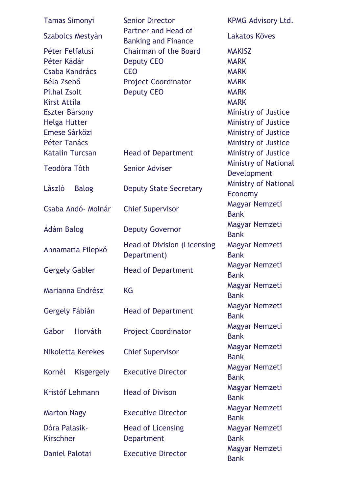| <b>Tamas Simonyi</b>                                                                                                                                                            | <b>Senior Director</b><br>Partner and Head of<br><b>Banking and Finance</b>                                        | <b>KPMG Advisory Ltd.</b>                                                                                                                                                            |
|---------------------------------------------------------------------------------------------------------------------------------------------------------------------------------|--------------------------------------------------------------------------------------------------------------------|--------------------------------------------------------------------------------------------------------------------------------------------------------------------------------------|
| Szabolcs Mestyàn                                                                                                                                                                |                                                                                                                    | Lakatos Köves                                                                                                                                                                        |
| Péter Felfalusi<br>Péter Kádár<br>Csaba Kandrács<br>Béla Zsebő<br><b>Pilhal Zsolt</b><br>Kirst Attila<br>Eszter Bársony<br><b>Helga Hutter</b><br>Emese Sárközi<br>Péter Tanács | <b>Chairman of the Board</b><br><b>Deputy CEO</b><br><b>CEO</b><br><b>Project Coordinator</b><br><b>Deputy CEO</b> | <b>MAKISZ</b><br><b>MARK</b><br><b>MARK</b><br><b>MARK</b><br><b>MARK</b><br><b>MARK</b><br>Ministry of Justice<br>Ministry of Justice<br>Ministry of Justice<br>Ministry of Justice |
| <b>Katalin Turcsan</b>                                                                                                                                                          | <b>Head of Department</b>                                                                                          | Ministry of Justice                                                                                                                                                                  |
| <b>Teodóra Tóth</b>                                                                                                                                                             | <b>Senior Adviser</b>                                                                                              | <b>Ministry of National</b><br>Development                                                                                                                                           |
| László<br><b>Balog</b>                                                                                                                                                          | <b>Deputy State Secretary</b>                                                                                      | <b>Ministry of National</b><br>Economy                                                                                                                                               |
| Csaba Andó- Molnár                                                                                                                                                              | <b>Chief Supervisor</b>                                                                                            | Magyar Nemzeti<br><b>Bank</b>                                                                                                                                                        |
| Ádám Balog                                                                                                                                                                      | <b>Deputy Governor</b>                                                                                             | Magyar Nemzeti<br><b>Bank</b>                                                                                                                                                        |
| Annamaria Filepkó                                                                                                                                                               | <b>Head of Division (Licensing</b><br>Department)                                                                  | Magyar Nemzeti<br><b>Bank</b>                                                                                                                                                        |
| <b>Gergely Gabler</b>                                                                                                                                                           | <b>Head of Department</b>                                                                                          | Magyar Nemzeti<br>Bank                                                                                                                                                               |
| Marianna Endrész                                                                                                                                                                | <b>KG</b>                                                                                                          | Magyar Nemzeti<br><b>Bank</b>                                                                                                                                                        |
| Gergely Fábián                                                                                                                                                                  | <b>Head of Department</b>                                                                                          | Magyar Nemzeti<br><b>Bank</b>                                                                                                                                                        |
| Gábor<br>Horváth                                                                                                                                                                | <b>Project Coordinator</b>                                                                                         | Magyar Nemzeti<br><b>Bank</b>                                                                                                                                                        |
| Nikoletta Kerekes                                                                                                                                                               | <b>Chief Supervisor</b>                                                                                            | Magyar Nemzeti<br><b>Bank</b>                                                                                                                                                        |
| Kornél<br>Kisgergely                                                                                                                                                            | <b>Executive Director</b>                                                                                          | Magyar Nemzeti<br><b>Bank</b>                                                                                                                                                        |
| Kristóf Lehmann                                                                                                                                                                 | <b>Head of Divison</b>                                                                                             | Magyar Nemzeti<br><b>Bank</b>                                                                                                                                                        |
| <b>Marton Nagy</b>                                                                                                                                                              | <b>Executive Director</b>                                                                                          | Magyar Nemzeti<br><b>Bank</b>                                                                                                                                                        |
| Dóra Palasik-<br><b>Kirschner</b>                                                                                                                                               | <b>Head of Licensing</b><br><b>Department</b>                                                                      | Magyar Nemzeti<br><b>Bank</b>                                                                                                                                                        |
| <b>Daniel Palotai</b>                                                                                                                                                           | <b>Executive Director</b>                                                                                          | Magyar Nemzeti<br><b>Bank</b>                                                                                                                                                        |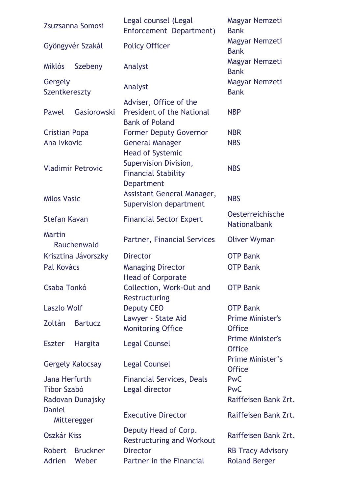| Zsuzsanna Somosi             |                         | Legal counsel (Legal<br>Enforcement Department)                   | Magyar Nemzeti<br><b>Bank</b>                  |
|------------------------------|-------------------------|-------------------------------------------------------------------|------------------------------------------------|
|                              | Gyöngyvér Szakál        | <b>Policy Officer</b>                                             | Magyar Nemzeti<br><b>Bank</b>                  |
| <b>Miklós</b>                | Szebeny                 | Analyst                                                           | Magyar Nemzeti<br><b>Bank</b>                  |
| Gergely<br>Szentkereszty     |                         | Analyst                                                           | Magyar Nemzeti<br><b>Bank</b>                  |
|                              |                         | Adviser, Office of the                                            |                                                |
| Pawel                        | Gasiorowski             | <b>President of the National</b><br><b>Bank of Poland</b>         | <b>NBP</b>                                     |
| <b>Cristian Popa</b>         |                         | <b>Former Deputy Governor</b>                                     | <b>NBR</b>                                     |
| Ana Ivkovic                  |                         | <b>General Manager</b><br><b>Head of Systemic</b>                 | <b>NBS</b>                                     |
| <b>Vladimir Petrovic</b>     |                         | Supervision Division,<br><b>Financial Stability</b><br>Department | <b>NBS</b>                                     |
| <b>Milos Vasic</b>           |                         | Assistant General Manager,<br>Supervision department              | <b>NBS</b>                                     |
| <b>Stefan Kavan</b>          |                         | <b>Financial Sector Expert</b>                                    | <b>Oesterreichische</b><br><b>Nationalbank</b> |
| <b>Martin</b>                | Rauchenwald             | Partner, Financial Services                                       | <b>Oliver Wyman</b>                            |
|                              | Krisztina Jávorszky     | <b>Director</b>                                                   | <b>OTP Bank</b>                                |
| Pal Kovács                   |                         | <b>Managing Director</b><br><b>Head of Corporate</b>              | <b>OTP Bank</b>                                |
| Csaba Tonkó                  |                         | Collection, Work-Out and<br>Restructuring                         | <b>OTP Bank</b>                                |
| <b>Laszlo Wolf</b>           |                         | <b>Deputy CEO</b>                                                 | <b>OTP Bank</b>                                |
|                              |                         | Lawyer - State Aid                                                | <b>Prime Minister's</b>                        |
| Zoltán                       | <b>Bartucz</b>          | <b>Monitoring Office</b>                                          | <b>Office</b>                                  |
| <b>Eszter</b>                | <b>Hargita</b>          | <b>Legal Counsel</b>                                              | <b>Prime Minister's</b><br><b>Office</b>       |
|                              | <b>Gergely Kalocsay</b> | <b>Legal Counsel</b>                                              | Prime Minister's<br><b>Office</b>              |
| Jana Herfurth                |                         | <b>Financial Services, Deals</b>                                  | <b>PwC</b>                                     |
| <b>Tibor Szabó</b>           |                         | Legal director                                                    | <b>PwC</b>                                     |
|                              | Radovan Dunajsky        |                                                                   | Raiffeisen Bank Zrt.                           |
| <b>Daniel</b><br>Mitteregger |                         | <b>Executive Director</b>                                         | Raiffeisen Bank Zrt.                           |
| <b>Oszkár Kiss</b>           |                         | Deputy Head of Corp.<br><b>Restructuring and Workout</b>          | Raiffeisen Bank Zrt.                           |
| <b>Robert</b>                | <b>Bruckner</b>         | <b>Director</b>                                                   | <b>RB Tracy Advisory</b>                       |
| <b>Adrien</b>                | Weber                   | Partner in the Financial                                          | <b>Roland Berger</b>                           |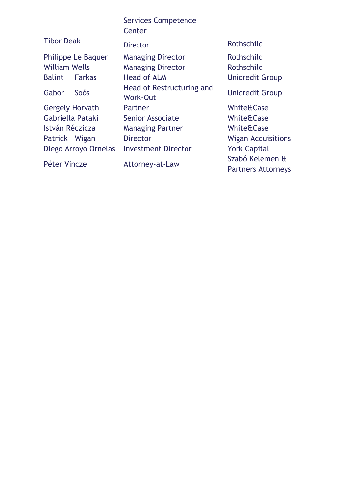|                                | <b>Services Competence</b><br>Center         |                      |
|--------------------------------|----------------------------------------------|----------------------|
| <b>Tibor Deak</b>              | <b>Director</b>                              | Rothschild           |
| Philippe Le Baquer             | <b>Managing Director</b>                     | Rothschild           |
| <b>William Wells</b>           | <b>Managing Director</b>                     | Rothschild           |
| <b>Balint</b><br><b>Farkas</b> | <b>Head of ALM</b>                           | <b>Unicredit Gro</b> |
| Gabor<br>Soós                  | Head of Restructuring and<br><b>Work-Out</b> | <b>Unicredit Gro</b> |
| <b>Gergely Horvath</b>         | Partner                                      | White&Case           |
| Gabriella Pataki               | <b>Senior Associate</b>                      | White&Case           |
| István Réczicza                | <b>Managing Partner</b>                      | White&Case           |
| Patrick Wigan                  | <b>Director</b>                              | <b>Wigan Acquis</b>  |
| Diego Arroyo Ornelas           | <b>Investment Director</b>                   | <b>York Capital</b>  |

edit Group

edit Group

**Acquisitions** Péter Vincze Mattorney-at-Law Szabó Kelemen & Partners Attorneys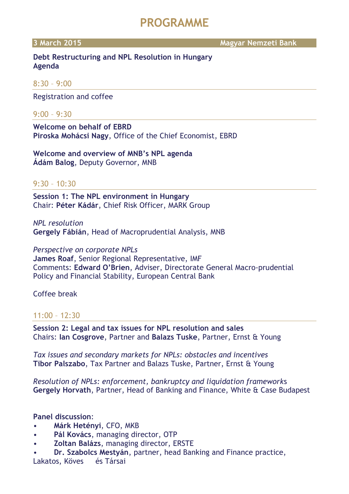### **PROGRAMME**

**3 March 2015 Magyar Nemzeti Bank**

#### **Debt Restructuring and NPL Resolution in Hungary Agenda**

#### 8:30 – 9:00

Registration and coffee

#### 9:00 – 9:30

**Welcome on behalf of EBRD Piroska Mohácsi Nagy**, Office of the Chief Economist, EBRD

**Welcome and overview of MNB's NPL agenda Ádám Balog**, Deputy Governor, MNB

#### 9:30 – 10:30

**Session 1: The NPL environment in Hungary** Chair: **Péter Kádár**, Chief Risk Officer, MARK Group

*NPL resolution*  **Gergely Fábián**, Head of Macroprudential Analysis, MNB

#### *Perspective on corporate NPLs*

**James Roaf**, Senior Regional Representative, IMF Comments: **Edward O'Brien**, Adviser, Directorate General Macro-prudential Policy and Financial Stability, European Central Bank

#### Coffee break

#### 11:00 – 12:30

**Session 2: Legal and tax issues for NPL resolution and sales**  Chairs: **Ian Cosgrove**, Partner and **Balazs Tuske**, Partner, Ernst & Young

*Tax issues and secondary markets for NPLs: obstacles and incentives* **Tibor Palszabo**, Tax Partner and Balazs Tuske, Partner, Ernst & Young

*Resolution of NPLs: enforcement, bankruptcy and liquidation framework*s **Gergely Horvath**, Partner, Head of Banking and Finance, White & Case Budapest

#### **Panel discussion**:

- **Márk Hetényi**, CFO, MKB
- **Pál Kovács**, managing director, OTP
- **Zoltan Balázs**, managing director, ERSTE

• **Dr. Szabolcs Mestyán**, partner, head Banking and Finance practice, Lakatos, Köves és Társai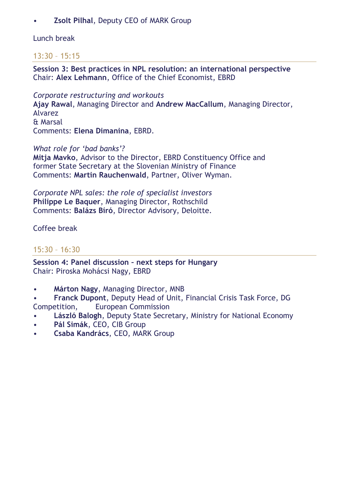#### • **Zsolt Pilhal**, Deputy CEO of MARK Group

#### Lunch break

### 13:30 – 15:15

**Session 3: Best practices in NPL resolution: an international perspective**  Chair: **Alex Lehmann**, Office of the Chief Economist, EBRD

*Corporate restructuring and workouts*  **Ajay Rawal**, Managing Director and **Andrew MacCallum**, Managing Director, Alvarez & Marsal Comments: **Elena Dimanina**, EBRD.

*What role for 'bad banks'?* 

**Mitja Mavko**, Advisor to the Director, EBRD Constituency Office and former State Secretary at the Slovenian Ministry of Finance Comments: **Martin Rauchenwald**, Partner, Oliver Wyman.

*Corporate NPL sales: the role of specialist investors* **Philippe Le Baquer**, Managing Director, Rothschild Comments: **Balázs Bíró**, Director Advisory, Deloitte.

Coffee break

### 15:30 – 16:30

**Session 4: Panel discussion – next steps for Hungary** Chair: Piroska Mohácsi Nagy, EBRD

- **Márton Nagy**, Managing Director, MNB
- **Franck Dupont**, Deputy Head of Unit, Financial Crisis Task Force, DG Competition, European Commission
- **László Balogh**, Deputy State Secretary, Ministry for National Economy
- **Pál Simák**, CEO, CIB Group
- **Csaba Kandrács**, CEO, MARK Group